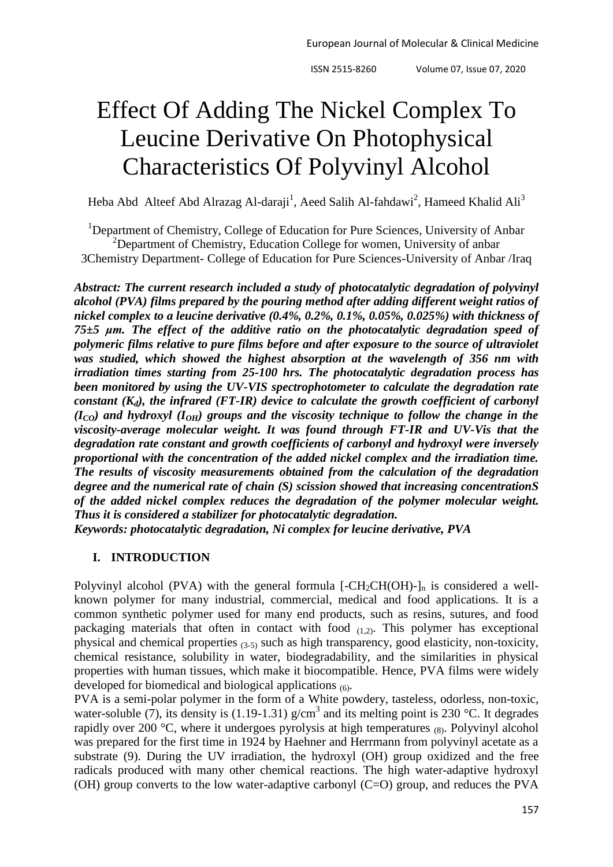# Effect Of Adding The Nickel Complex To Leucine Derivative On Photophysical Characteristics Of Polyvinyl Alcohol

Heba Abd Alteef Abd Alrazag Al-daraji<sup>1</sup>, Aeed Salih Al-fahdawi<sup>2</sup>, Hameed Khalid Ali<sup>3</sup>

<sup>1</sup>Department of Chemistry, College of Education for Pure Sciences, University of Anbar  $2D$ epartment of Chemistry, Education College for women, University of anbar 3Chemistry Department- College of Education for Pure Sciences-University of Anbar /Iraq

*Abstract: The current research included a study of photocatalytic degradation of polyvinyl alcohol (PVA) films prepared by the pouring method after adding different weight ratios of nickel complex to a leucine derivative (0.4%, 0.2%, 0.1%, 0.05%, 0.025%) with thickness of 75±5 μm. The effect of the additive ratio on the photocatalytic degradation speed of polymeric films relative to pure films before and after exposure to the source of ultraviolet was studied, which showed the highest absorption at the wavelength of 356 nm with irradiation times starting from 25-100 hrs. The photocatalytic degradation process has been monitored by using the UV-VIS spectrophotometer to calculate the degradation rate constant (Kd), the infrared (FT-IR) device to calculate the growth coefficient of carbonyl*   $(I_{CO})$  and hydroxyl  $(I_{OH})$  groups and the viscosity technique to follow the change in the *viscosity-average molecular weight. It was found through FT-IR and UV-Vis that the degradation rate constant and growth coefficients of carbonyl and hydroxyl were inversely proportional with the concentration of the added nickel complex and the irradiation time. The results of viscosity measurements obtained from the calculation of the degradation degree and the numerical rate of chain (S) scission showed that increasing concentrationS of the added nickel complex reduces the degradation of the polymer molecular weight. Thus it is considered a stabilizer for photocatalytic degradation.*

*Keywords: photocatalytic degradation, Ni complex for leucine derivative, PVA*

# **I. INTRODUCTION**

Polyvinyl alcohol (PVA) with the general formula  $[-CH_2CH(OH)-]_n$  is considered a wellknown polymer for many industrial, commercial, medical and food applications. It is a common synthetic polymer used for many end products, such as resins, sutures, and food packaging materials that often in contact with food  $(1,2)$ . This polymer has exceptional physical and chemical properties (3-5) such as high transparency, good elasticity, non-toxicity, chemical resistance, solubility in water, biodegradability, and the similarities in physical properties with human tissues, which make it biocompatible. Hence, PVA films were widely developed for biomedical and biological applications (6).

PVA is a semi-polar polymer in the form of a White powdery, tasteless, odorless, non-toxic, water-soluble (7), its density is (1.19-1.31)  $g/cm<sup>3</sup>$  and its melting point is 230 °C. It degrades rapidly over 200  $^{\circ}$ C, where it undergoes pyrolysis at high temperatures (8). Polyvinyl alcohol was prepared for the first time in 1924 by Haehner and Herrmann from polyvinyl acetate as a substrate (9). During the UV irradiation, the hydroxyl (OH) group oxidized and the free radicals produced with many other chemical reactions. The high water-adaptive hydroxyl (OH) group converts to the low water-adaptive carbonyl  $(C=O)$  group, and reduces the PVA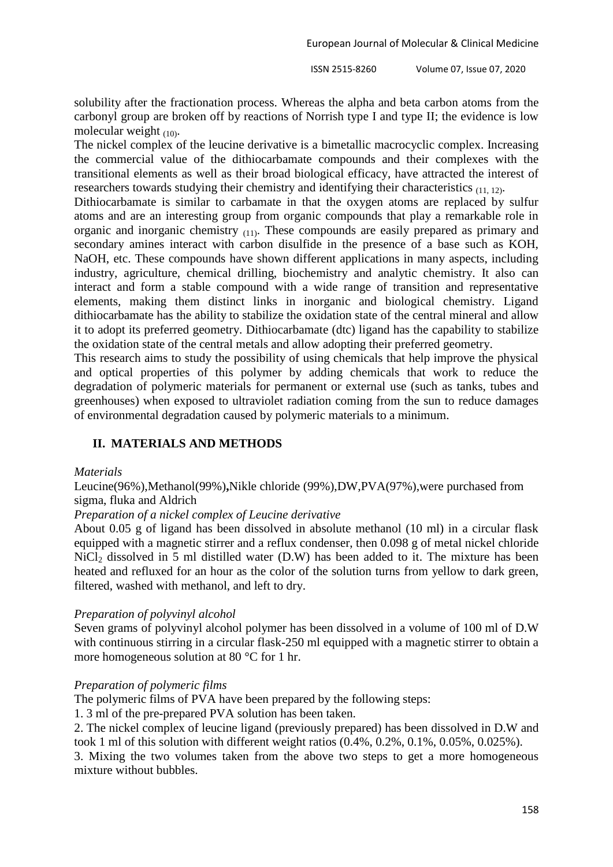solubility after the fractionation process. Whereas the alpha and beta carbon atoms from the carbonyl group are broken off by reactions of Norrish type I and type II; the evidence is low molecular weight  $(10)$ .

The nickel complex of the leucine derivative is a bimetallic macrocyclic complex. Increasing the commercial value of the dithiocarbamate compounds and their complexes with the transitional elements as well as their broad biological efficacy, have attracted the interest of researchers towards studying their chemistry and identifying their characteristics (11, 12).

Dithiocarbamate is similar to carbamate in that the oxygen atoms are replaced by sulfur atoms and are an interesting group from organic compounds that play a remarkable role in organic and inorganic chemistry (11). These compounds are easily prepared as primary and secondary amines interact with carbon disulfide in the presence of a base such as KOH, NaOH, etc. These compounds have shown different applications in many aspects, including industry, agriculture, chemical drilling, biochemistry and analytic chemistry. It also can interact and form a stable compound with a wide range of transition and representative elements, making them distinct links in inorganic and biological chemistry. Ligand dithiocarbamate has the ability to stabilize the oxidation state of the central mineral and allow it to adopt its preferred geometry. Dithiocarbamate (dtc) ligand has the capability to stabilize the oxidation state of the central metals and allow adopting their preferred geometry.

This research aims to study the possibility of using chemicals that help improve the physical and optical properties of this polymer by adding chemicals that work to reduce the degradation of polymeric materials for permanent or external use (such as tanks, tubes and greenhouses) when exposed to ultraviolet radiation coming from the sun to reduce damages of environmental degradation caused by polymeric materials to a minimum.

# **II. MATERIALS AND METHODS**

# *Materials*

Leucine(96%),Methanol(99%)**,**Nikle chloride (99%),DW,PVA(97%),were purchased from sigma, fluka and Aldrich

# *Preparation of a nickel complex of Leucine derivative*

About 0.05 g of ligand has been dissolved in absolute methanol (10 ml) in a circular flask equipped with a magnetic stirrer and a reflux condenser, then 0.098 g of metal nickel chloride NiCl<sub>2</sub> dissolved in 5 ml distilled water (D.W) has been added to it. The mixture has been heated and refluxed for an hour as the color of the solution turns from yellow to dark green, filtered, washed with methanol, and left to dry.

# *Preparation of polyvinyl alcohol*

Seven grams of polyvinyl alcohol polymer has been dissolved in a volume of 100 ml of D.W with continuous stirring in a circular flask-250 ml equipped with a magnetic stirrer to obtain a more homogeneous solution at 80 °C for 1 hr.

# *Preparation of polymeric films*

The polymeric films of PVA have been prepared by the following steps:

1. 3 ml of the pre-prepared PVA solution has been taken.

2. The nickel complex of leucine ligand (previously prepared) has been dissolved in D.W and took 1 ml of this solution with different weight ratios (0.4%, 0.2%, 0.1%, 0.05%, 0.025%).

3. Mixing the two volumes taken from the above two steps to get a more homogeneous mixture without bubbles.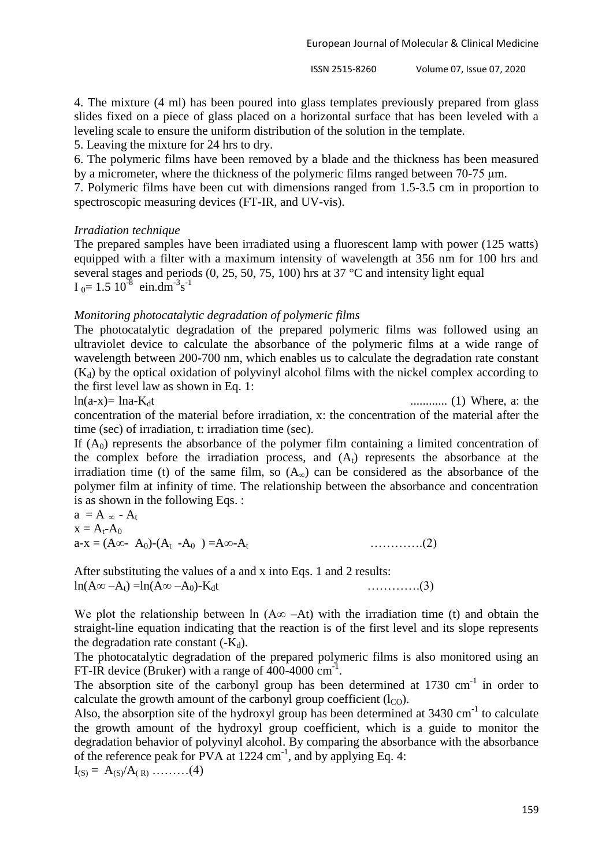4. The mixture (4 ml) has been poured into glass templates previously prepared from glass slides fixed on a piece of glass placed on a horizontal surface that has been leveled with a leveling scale to ensure the uniform distribution of the solution in the template.

5. Leaving the mixture for 24 hrs to dry.

6. The polymeric films have been removed by a blade and the thickness has been measured by a micrometer, where the thickness of the polymeric films ranged between  $70-75 \mu m$ .

7. Polymeric films have been cut with dimensions ranged from 1.5-3.5 cm in proportion to spectroscopic measuring devices (FT-IR, and UV-vis).

#### *Irradiation technique*

The prepared samples have been irradiated using a fluorescent lamp with power (125 watts) equipped with a filter with a maximum intensity of wavelength at 356 nm for 100 hrs and several stages and periods (0, 25, 50, 75, 100) hrs at 37 °C and intensity light equal  $I_0 = 1.5 10^{-8}$  ein.dm<sup>-3</sup>s<sup>-1</sup>

#### *Monitoring photocatalytic degradation of polymeric films*

The photocatalytic degradation of the prepared polymeric films was followed using an ultraviolet device to calculate the absorbance of the polymeric films at a wide range of wavelength between 200-700 nm, which enables us to calculate the degradation rate constant  $(K_d)$  by the optical oxidation of polyvinyl alcohol films with the nickel complex according to the first level law as shown in Eq. 1:

ln(a-x)= lna-Kdt ............ (1) Where, a: the concentration of the material before irradiation, x: the concentration of the material after the time (sec) of irradiation, t: irradiation time (sec).

If  $(A<sub>0</sub>)$  represents the absorbance of the polymer film containing a limited concentration of the complex before the irradiation process, and  $(A<sub>t</sub>)$  represents the absorbance at the irradiation time (t) of the same film, so  $(A_{\infty})$  can be considered as the absorbance of the polymer film at infinity of time. The relationship between the absorbance and concentration is as shown in the following Eqs. :

a = A ∞ - A<sup>t</sup> x = At-A<sup>0</sup> a-x = (A∞- A0)-(A<sup>t</sup> -A0 ) =A∞-At ………….(2)

After substituting the values of a and x into Eqs. 1 and 2 results:  $ln(A\infty - A_t) = ln(A\infty - A_0) - K_d t$  …………..(3)

We plot the relationship between ln  $(A\infty - At)$  with the irradiation time (t) and obtain the straight-line equation indicating that the reaction is of the first level and its slope represents the degradation rate constant  $(-K_d)$ .

The photocatalytic degradation of the prepared polymeric films is also monitored using an FT-IR device (Bruker) with a range of  $400-4000$  cm<sup>-1</sup>.

The absorption site of the carbonyl group has been determined at  $1730 \text{ cm}^{-1}$  in order to calculate the growth amount of the carbonyl group coefficient  $(l_{\text{CO}})$ .

Also, the absorption site of the hydroxyl group has been determined at  $3430 \text{ cm}^{-1}$  to calculate the growth amount of the hydroxyl group coefficient, which is a guide to monitor the degradation behavior of polyvinyl alcohol. By comparing the absorbance with the absorbance of the reference peak for PVA at 1224 cm<sup>-1</sup>, and by applying Eq. 4:

 $I_{(S)} = A_{(S)}/A_{(R)} \dots (4)$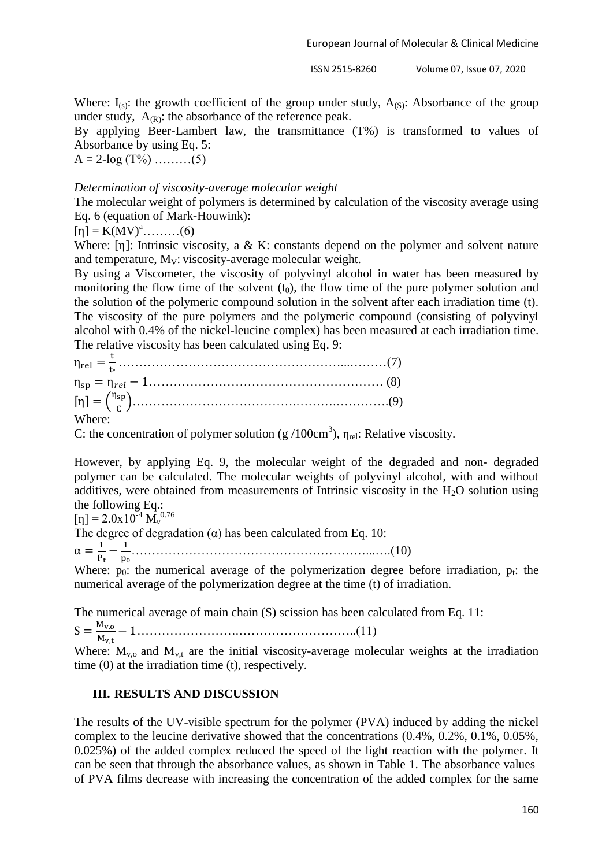Where:  $I_{(s)}$ : the growth coefficient of the group under study,  $A_{(S)}$ : Absorbance of the group under study,  $A_{(R)}$ : the absorbance of the reference peak.

By applying Beer-Lambert law, the transmittance (T%) is transformed to values of Absorbance by using Eq. 5:

 $A = 2 - log(T\%)$  ………(5)

#### *Determination of viscosity-average molecular weight*

The molecular weight of polymers is determined by calculation of the viscosity average using Eq. 6 (equation of Mark-Houwink):

 $[\eta] = K(MV)^{a}$ ………(6)

Where:  $[n]$ : Intrinsic viscosity, a & K: constants depend on the polymer and solvent nature and temperature,  $M_V$ : viscosity-average molecular weight.

By using a Viscometer, the viscosity of polyvinyl alcohol in water has been measured by monitoring the flow time of the solvent  $(t_0)$ , the flow time of the pure polymer solution and the solution of the polymeric compound solution in the solvent after each irradiation time (t). The viscosity of the pure polymers and the polymeric compound (consisting of polyvinyl alcohol with 0.4% of the nickel-leucine complex) has been measured at each irradiation time. The relative viscosity has been calculated using Eq. 9:

 $\eta_{\rm rel} = \frac{\rm t}{\rm t}$  ………………………………………………...………(7) ………………………………………………… (8)  $[\eta] = (\frac{\eta}{\eta})$  )………………………………….……….………….(9) Where:

C: the concentration of polymer solution (g /100cm<sup>3</sup>),  $\eta_{rel}$ : Relative viscosity.

However, by applying Eq. 9, the molecular weight of the degraded and non- degraded polymer can be calculated. The molecular weights of polyvinyl alcohol, with and without additives, were obtained from measurements of Intrinsic viscosity in the  $H_2O$  solution using the following Eq.:

 $[\eta] = 2.0x10^{-4} M_{\nu}^{0.76}$ 

The degree of degradation  $(\alpha)$  has been calculated from Eq. 10:

 $\alpha = \frac{1}{R}$  $\frac{1}{P_t} - \frac{1}{p_0}$ …………………………………………………...….(10)

Where:  $p_0$ : the numerical average of the polymerization degree before irradiation,  $p_t$ : the numerical average of the polymerization degree at the time (t) of irradiation.

The numerical average of main chain (S) scission has been calculated from Eq. 11:

 $S = \frac{M}{M}$ …………………….………………………..(11)

Where:  $M_{v,0}$  and  $M_{v,t}$  are the initial viscosity-average molecular weights at the irradiation time (0) at the irradiation time (t), respectively.

#### **III. RESULTS AND DISCUSSION**

The results of the UV-visible spectrum for the polymer (PVA) induced by adding the nickel complex to the leucine derivative showed that the concentrations (0.4%, 0.2%, 0.1%, 0.05%, 0.025%) of the added complex reduced the speed of the light reaction with the polymer. It can be seen that through the absorbance values, as shown in Table 1. The absorbance values of PVA films decrease with increasing the concentration of the added complex for the same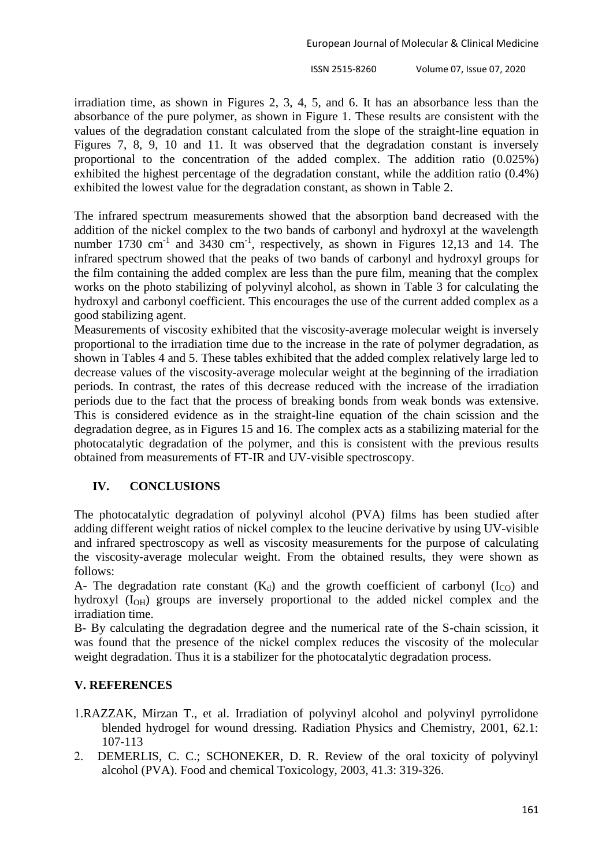irradiation time, as shown in Figures 2, 3, 4, 5, and 6. It has an absorbance less than the absorbance of the pure polymer, as shown in Figure 1. These results are consistent with the values of the degradation constant calculated from the slope of the straight-line equation in Figures 7, 8, 9, 10 and 11. It was observed that the degradation constant is inversely proportional to the concentration of the added complex. The addition ratio (0.025%) exhibited the highest percentage of the degradation constant, while the addition ratio (0.4%) exhibited the lowest value for the degradation constant, as shown in Table 2.

The infrared spectrum measurements showed that the absorption band decreased with the addition of the nickel complex to the two bands of carbonyl and hydroxyl at the wavelength number 1730  $\text{cm}^{-1}$  and 3430  $\text{cm}^{-1}$ , respectively, as shown in Figures 12,13 and 14. The infrared spectrum showed that the peaks of two bands of carbonyl and hydroxyl groups for the film containing the added complex are less than the pure film, meaning that the complex works on the photo stabilizing of polyvinyl alcohol, as shown in Table 3 for calculating the hydroxyl and carbonyl coefficient. This encourages the use of the current added complex as a good stabilizing agent.

Measurements of viscosity exhibited that the viscosity-average molecular weight is inversely proportional to the irradiation time due to the increase in the rate of polymer degradation, as shown in Tables 4 and 5. These tables exhibited that the added complex relatively large led to decrease values of the viscosity-average molecular weight at the beginning of the irradiation periods. In contrast, the rates of this decrease reduced with the increase of the irradiation periods due to the fact that the process of breaking bonds from weak bonds was extensive. This is considered evidence as in the straight-line equation of the chain scission and the degradation degree, as in Figures 15 and 16. The complex acts as a stabilizing material for the photocatalytic degradation of the polymer, and this is consistent with the previous results obtained from measurements of FT-IR and UV-visible spectroscopy.

# **IV. CONCLUSIONS**

The photocatalytic degradation of polyvinyl alcohol (PVA) films has been studied after adding different weight ratios of nickel complex to the leucine derivative by using UV-visible and infrared spectroscopy as well as viscosity measurements for the purpose of calculating the viscosity-average molecular weight. From the obtained results, they were shown as follows:

A- The degradation rate constant  $(K_d)$  and the growth coefficient of carbonyl  $(I_{CO})$  and hydroxyl (I<sub>OH</sub>) groups are inversely proportional to the added nickel complex and the irradiation time.

B- By calculating the degradation degree and the numerical rate of the S-chain scission, it was found that the presence of the nickel complex reduces the viscosity of the molecular weight degradation. Thus it is a stabilizer for the photocatalytic degradation process.

# **V. REFERENCES**

- 1.RAZZAK, Mirzan T., et al. Irradiation of polyvinyl alcohol and polyvinyl pyrrolidone blended hydrogel for wound dressing. Radiation Physics and Chemistry, 2001, 62.1: 107-113
- 2. DEMERLIS, C. C.; SCHONEKER, D. R. Review of the oral toxicity of polyvinyl alcohol (PVA). Food and chemical Toxicology, 2003, 41.3: 319-326.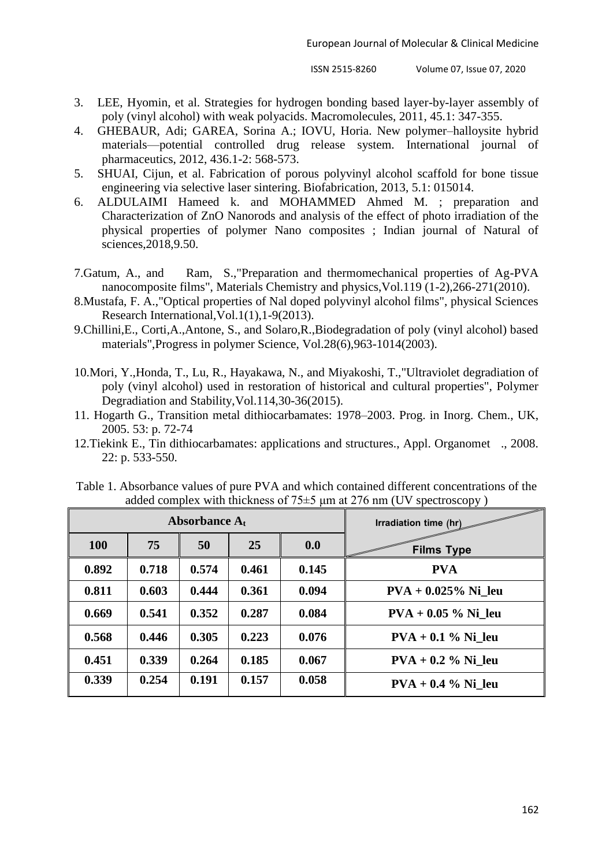- 3. LEE, Hyomin, et al. Strategies for hydrogen bonding based layer-by-layer assembly of poly (vinyl alcohol) with weak polyacids. Macromolecules, 2011, 45.1: 347-355.
- 4. GHEBAUR, Adi; GAREA, Sorina A.; IOVU, Horia. New polymer–halloysite hybrid materials—potential controlled drug release system. International journal of pharmaceutics, 2012, 436.1-2: 568-573.
- 5. SHUAI, Cijun, et al. Fabrication of porous polyvinyl alcohol scaffold for bone tissue engineering via selective laser sintering. Biofabrication, 2013, 5.1: 015014.
- 6. ALDULAIMI Hameed k. and MOHAMMED Ahmed M. ; preparation and Characterization of ZnO Nanorods and analysis of the effect of photo irradiation of the physical properties of polymer Nano composites ; Indian journal of Natural of sciences,2018,9.50.
- 7.Gatum, A., and Ram, S.,"Preparation and thermomechanical properties of Ag-PVA nanocomposite films", Materials Chemistry and physics,Vol.119 (1-2),266-271(2010).
- 8.Mustafa, F. A.,"Optical properties of Nal doped polyvinyl alcohol films", physical Sciences Research International,Vol.1(1),1-9(2013).
- 9.Chillini,E., Corti,A.,Antone, S., and Solaro,R.,Biodegradation of poly (vinyl alcohol) based materials",Progress in polymer Science, Vol.28(6),963-1014(2003).
- 10.Mori, Y.,Honda, T., Lu, R., Hayakawa, N., and Miyakoshi, T.,"Ultraviolet degradiation of poly (vinyl alcohol) used in restoration of historical and cultural properties", Polymer Degradiation and Stability,Vol.114,30-36(2015).
- 11. Hogarth G., Transition metal dithiocarbamates: 1978–2003. Prog. in Inorg. Chem., UK, 2005. 53: p. 72-74
- 12.Tiekink E., Tin dithiocarbamates: applications and structures., Appl. Organomet ., 2008. 22: p. 533-550.

| Table 1. Absorbance values of pure PVA and which contained different concentrations of the |  |
|--------------------------------------------------------------------------------------------|--|
| added complex with thickness of $75\pm5$ µm at 276 nm (UV spectroscopy)                    |  |

| Absorbance $A_t$ |       |       |       | Irradiation time (hr) |                        |
|------------------|-------|-------|-------|-----------------------|------------------------|
| <b>100</b>       | 75    | 50    | 25    | 0.0                   | <b>Films Type</b>      |
| 0.892            | 0.718 | 0.574 | 0.461 | 0.145                 | <b>PVA</b>             |
| 0.811            | 0.603 | 0.444 | 0.361 | 0.094                 | $PVA + 0.025\%$ Ni leu |
| 0.669            | 0.541 | 0.352 | 0.287 | 0.084                 | $PVA + 0.05 %$ Ni leu  |
| 0.568            | 0.446 | 0.305 | 0.223 | 0.076                 | $PVA + 0.1 \%$ Ni leu  |
| 0.451            | 0.339 | 0.264 | 0.185 | 0.067                 | $PVA + 0.2 %$ Ni leu   |
| 0.339            | 0.254 | 0.191 | 0.157 | 0.058                 | $PVA + 0.4 %$ Ni_leu   |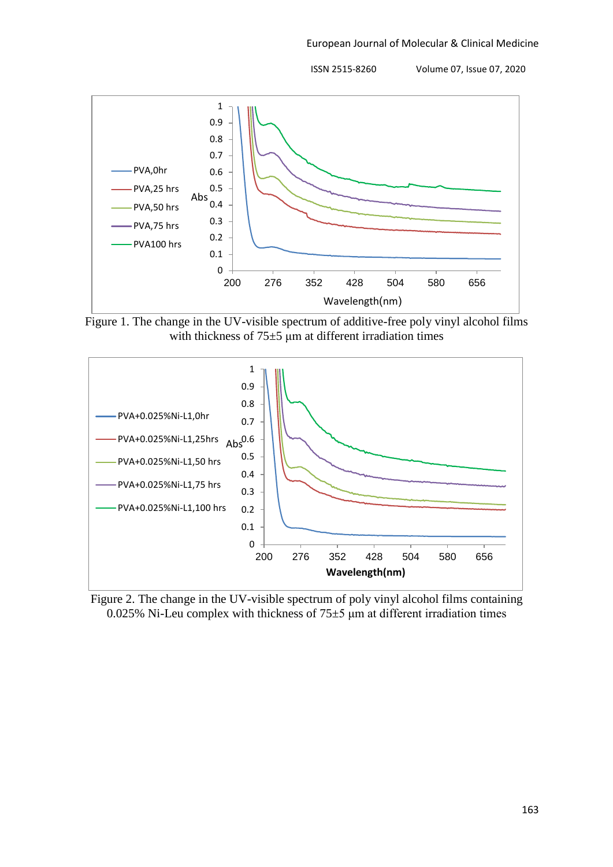

Figure 1. The change in the UV-visible spectrum of additive-free poly vinyl alcohol films with thickness of  $75±5$  µm at different irradiation times



Figure 2. The change in the UV-visible spectrum of poly vinyl alcohol films containing 0.025% Ni-Leu complex with thickness of  $75\pm5$  µm at different irradiation times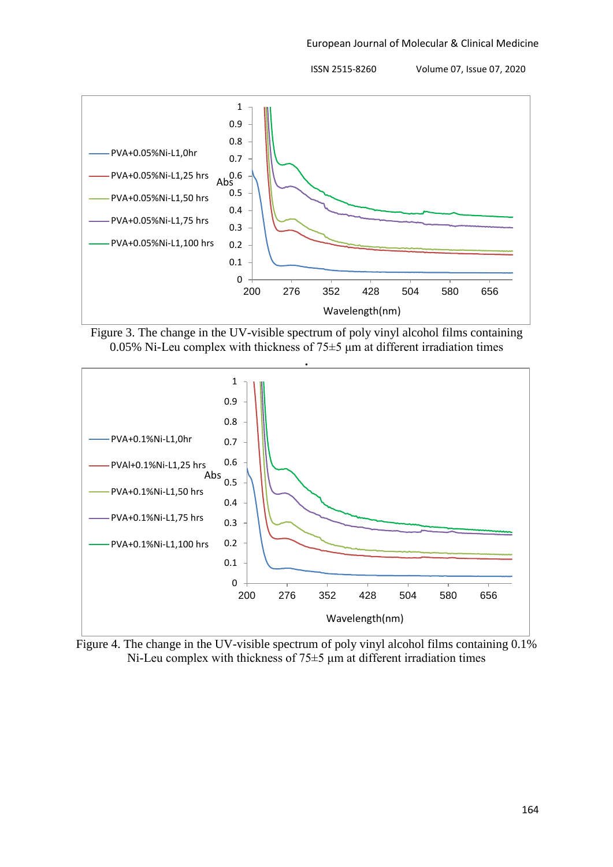

Figure 3. The change in the UV-visible spectrum of poly vinyl alcohol films containing 0.05% Ni-Leu complex with thickness of  $75\pm5$  um at different irradiation times



Figure 4. The change in the UV-visible spectrum of poly vinyl alcohol films containing 0.1% Ni-Leu complex with thickness of  $75\pm5$  µm at different irradiation times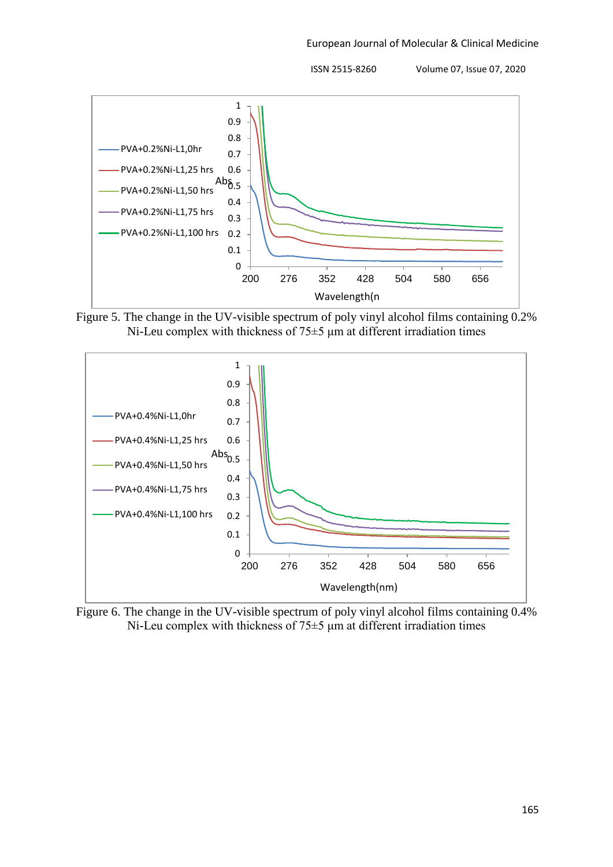

Figure 5. The change in the UV-visible spectrum of poly vinyl alcohol films containing 0.2% Ni-Leu complex with thickness of 75±5 μm at different irradiation times



Figure 6. The change in the UV-visible spectrum of poly vinyl alcohol films containing 0.4% Ni-Leu complex with thickness of  $75\pm5$  µm at different irradiation times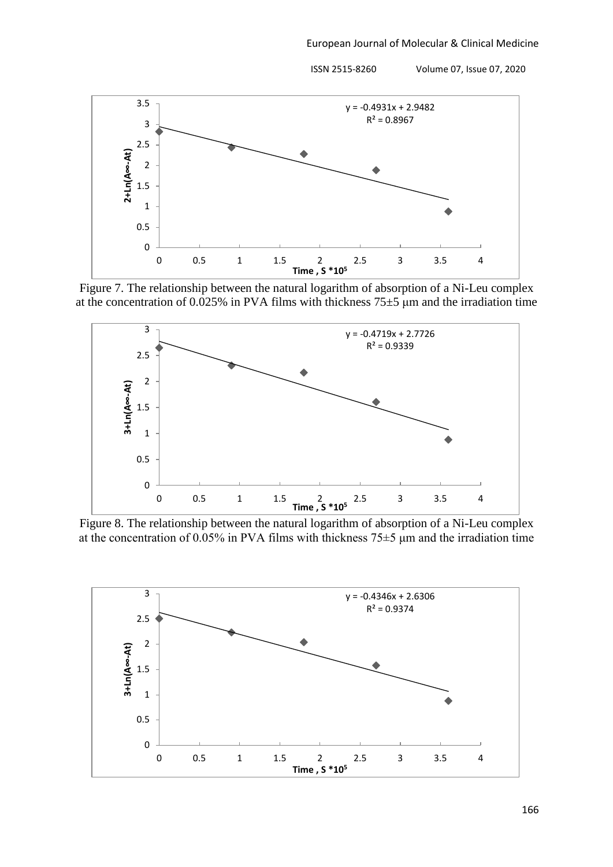

Figure 7. The relationship between the natural logarithm of absorption of a Ni-Leu complex at the concentration of 0.025% in PVA films with thickness  $75\pm5$  µm and the irradiation time



Figure 8. The relationship between the natural logarithm of absorption of a Ni-Leu complex at the concentration of 0.05% in PVA films with thickness  $75\pm5$  µm and the irradiation time

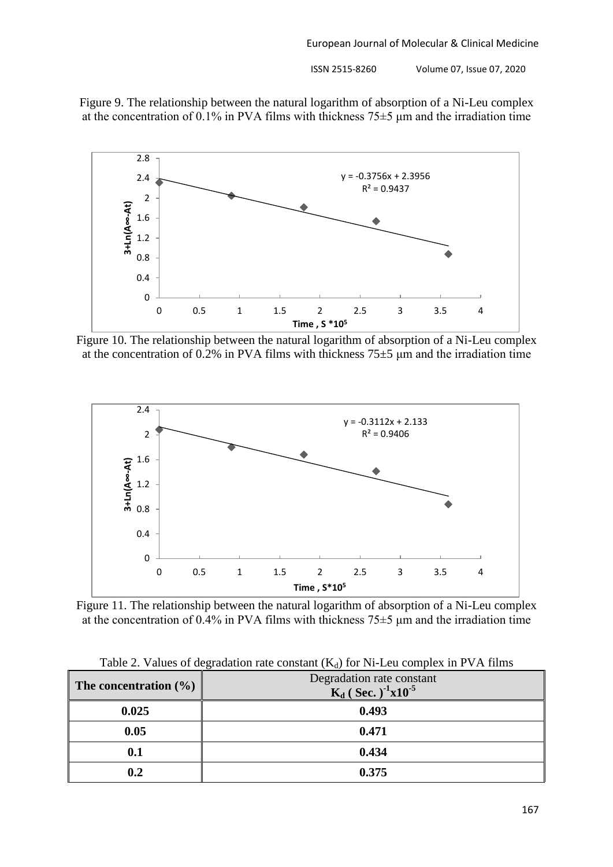



Figure 10. The relationship between the natural logarithm of absorption of a Ni-Leu complex at the concentration of 0.2% in PVA films with thickness  $75\pm5$  µm and the irradiation time



Figure 11. The relationship between the natural logarithm of absorption of a Ni-Leu complex at the concentration of 0.4% in PVA films with thickness  $75\pm5$  µm and the irradiation time

| Table 2. Values of degradation rate constant $(K_d)$ for Ni-Leu complex in PVA films |                           |  |  |  |
|--------------------------------------------------------------------------------------|---------------------------|--|--|--|
| ho concentration $(0/\ )$                                                            | Degradation rate constant |  |  |  |

| The concentration $(\% )$ | Degradation rate constant<br>$K_d$ (Sec.) <sup>-1</sup> x10 <sup>-5</sup> |
|---------------------------|---------------------------------------------------------------------------|
| 0.025                     | 0.493                                                                     |
| 0.05                      | 0.471                                                                     |
| $\boldsymbol{0.1}$        | 0.434                                                                     |
| 0.2                       | 0.375                                                                     |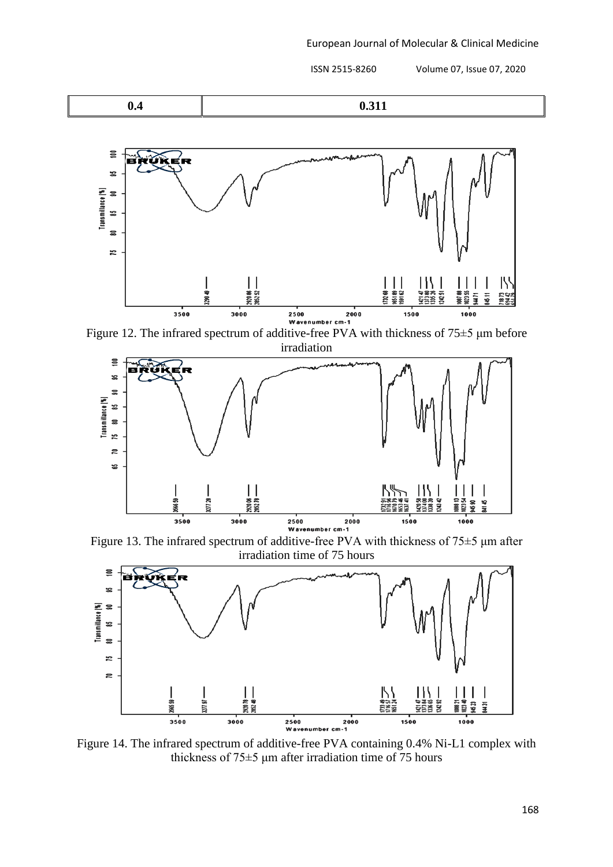$$
0.4 \qquad \qquad 0.311
$$



Figure 12. The infrared spectrum of additive-free PVA with thickness of 75±5 μm before irradiation



Figure 13. The infrared spectrum of additive-free PVA with thickness of 75±5 μm after irradiation time of 75 hours



Figure 14. The infrared spectrum of additive-free PVA containing 0.4% Ni-L1 complex with thickness of 75±5 μm after irradiation time of 75 hours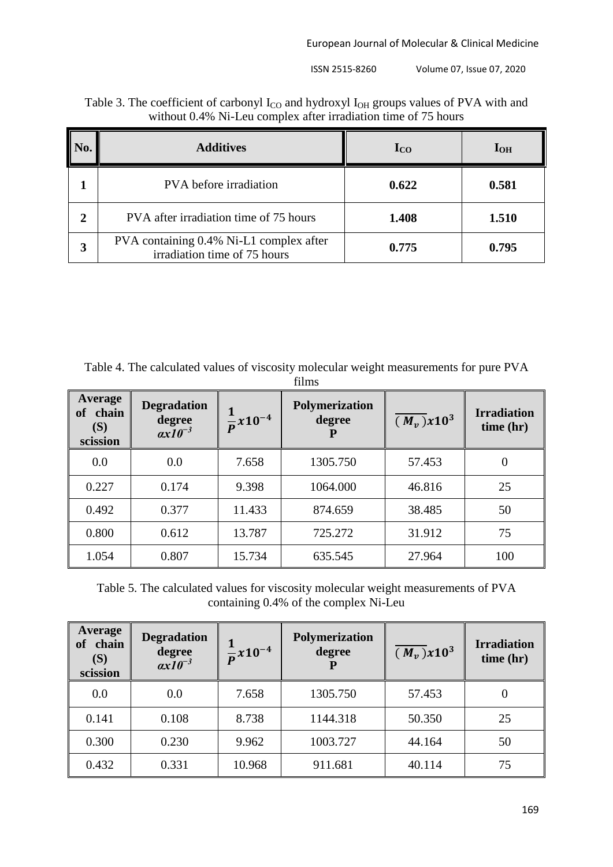| No.            | <b>Additives</b>                                                        | $\mathbf{I}_{\rm CO}$ | $I_{OH}$ |
|----------------|-------------------------------------------------------------------------|-----------------------|----------|
|                | PVA before irradiation                                                  | 0.622                 | 0.581    |
| $\overline{2}$ | PVA after irradiation time of 75 hours                                  | 1.408                 | 1.510    |
| 3              | PVA containing 0.4% Ni-L1 complex after<br>irradiation time of 75 hours | 0.775                 | 0.795    |

| Table 3. The coefficient of carbonyl $I_{CO}$ and hydroxyl $I_{OH}$ groups values of PVA with and |
|---------------------------------------------------------------------------------------------------|
| without 0.4% Ni-Leu complex after irradiation time of 75 hours                                    |

Table 4. The calculated values of viscosity molecular weight measurements for pure PVA films

| Average<br>chain<br>of<br>(S)<br>scission | <b>Degradation</b><br>degree<br>$ax10^{-3}$ | $\sqrt{p} x 10^{-4}$ | Polymerization<br>degree | $\overline{(M_v)}x10^3$ | <b>Irradiation</b><br>time (hr) |
|-------------------------------------------|---------------------------------------------|----------------------|--------------------------|-------------------------|---------------------------------|
| 0.0                                       | 0.0                                         | 7.658                | 1305.750                 | 57.453                  | $\boldsymbol{0}$                |
| 0.227                                     | 0.174                                       | 9.398                | 1064.000                 | 46.816                  | 25                              |
| 0.492                                     | 0.377                                       | 11.433               | 874.659                  | 38.485                  | 50                              |
| 0.800                                     | 0.612                                       | 13.787               | 725.272                  | 31.912                  | 75                              |
| 1.054                                     | 0.807                                       | 15.734               | 635.545                  | 27.964                  | 100                             |

Table 5. The calculated values for viscosity molecular weight measurements of PVA containing 0.4% of the complex Ni-Leu

| Average<br>chain<br><b>of</b><br>(S)<br>scission | <b>Degradation</b><br>degree<br>$ax10^{-3}$ | $\frac{1}{p}$ x10 <sup>-4</sup> | Polymerization<br>degree | $\overline{(M_v)}x10^3$ | <b>Irradiation</b><br>time (hr) |
|--------------------------------------------------|---------------------------------------------|---------------------------------|--------------------------|-------------------------|---------------------------------|
| 0.0                                              | 0.0                                         | 7.658                           | 1305.750                 | 57.453                  | 0                               |
| 0.141                                            | 0.108                                       | 8.738                           | 1144.318                 | 50.350                  | 25                              |
| 0.300                                            | 0.230                                       | 9.962                           | 1003.727                 | 44.164                  | 50                              |
| 0.432                                            | 0.331                                       | 10.968                          | 911.681                  | 40.114                  | 75                              |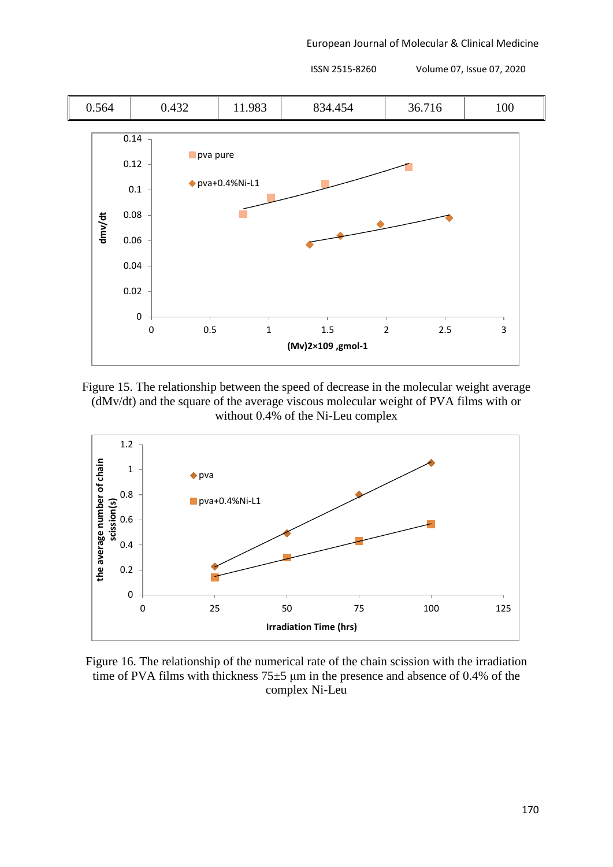European Journal of Molecular & Clinical Medicine



Figure 15. The relationship between the speed of decrease in the molecular weight average (dMv/dt) and the square of the average viscous molecular weight of PVA films with or without 0.4% of the Ni-Leu complex



Figure 16. The relationship of the numerical rate of the chain scission with the irradiation time of PVA films with thickness 75±5 μm in the presence and absence of 0.4% of the complex Ni-Leu